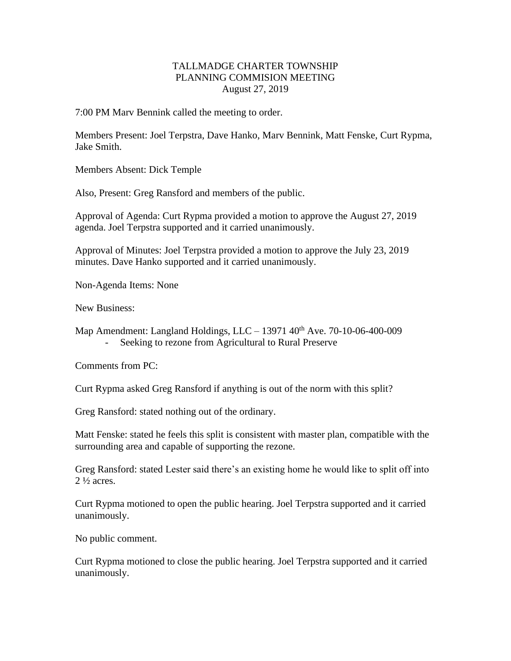## TALLMADGE CHARTER TOWNSHIP PLANNING COMMISION MEETING August 27, 2019

7:00 PM Marv Bennink called the meeting to order.

Members Present: Joel Terpstra, Dave Hanko, Marv Bennink, Matt Fenske, Curt Rypma, Jake Smith.

Members Absent: Dick Temple

Also, Present: Greg Ransford and members of the public.

Approval of Agenda: Curt Rypma provided a motion to approve the August 27, 2019 agenda. Joel Terpstra supported and it carried unanimously.

Approval of Minutes: Joel Terpstra provided a motion to approve the July 23, 2019 minutes. Dave Hanko supported and it carried unanimously.

Non-Agenda Items: None

New Business:

Map Amendment: Langland Holdings, LLC – 13971  $40<sup>th</sup>$  Ave. 70-10-06-400-009 Seeking to rezone from Agricultural to Rural Preserve

Comments from PC:

Curt Rypma asked Greg Ransford if anything is out of the norm with this split?

Greg Ransford: stated nothing out of the ordinary.

Matt Fenske: stated he feels this split is consistent with master plan, compatible with the surrounding area and capable of supporting the rezone.

Greg Ransford: stated Lester said there's an existing home he would like to split off into 2 ½ acres.

Curt Rypma motioned to open the public hearing. Joel Terpstra supported and it carried unanimously.

No public comment.

Curt Rypma motioned to close the public hearing. Joel Terpstra supported and it carried unanimously.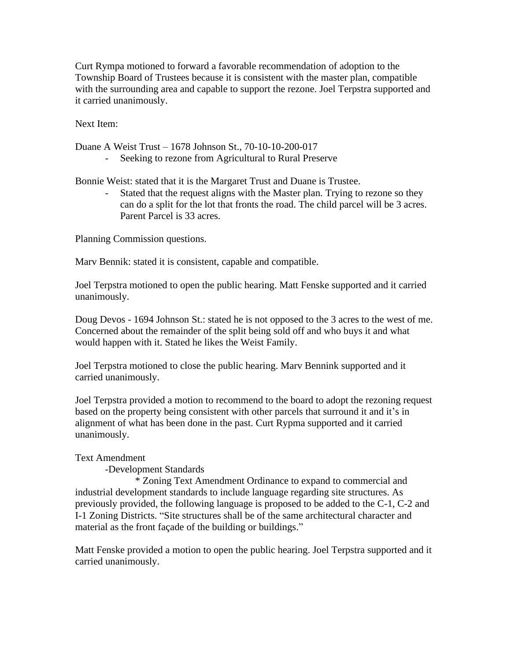Curt Rympa motioned to forward a favorable recommendation of adoption to the Township Board of Trustees because it is consistent with the master plan, compatible with the surrounding area and capable to support the rezone. Joel Terpstra supported and it carried unanimously.

Next Item:

Duane A Weist Trust – 1678 Johnson St., 70-10-10-200-017

Seeking to rezone from Agricultural to Rural Preserve

Bonnie Weist: stated that it is the Margaret Trust and Duane is Trustee.

Stated that the request aligns with the Master plan. Trying to rezone so they can do a split for the lot that fronts the road. The child parcel will be 3 acres. Parent Parcel is 33 acres.

Planning Commission questions.

Marv Bennik: stated it is consistent, capable and compatible.

Joel Terpstra motioned to open the public hearing. Matt Fenske supported and it carried unanimously.

Doug Devos - 1694 Johnson St.: stated he is not opposed to the 3 acres to the west of me. Concerned about the remainder of the split being sold off and who buys it and what would happen with it. Stated he likes the Weist Family.

Joel Terpstra motioned to close the public hearing. Marv Bennink supported and it carried unanimously.

Joel Terpstra provided a motion to recommend to the board to adopt the rezoning request based on the property being consistent with other parcels that surround it and it's in alignment of what has been done in the past. Curt Rypma supported and it carried unanimously.

## Text Amendment

-Development Standards

\* Zoning Text Amendment Ordinance to expand to commercial and industrial development standards to include language regarding site structures. As previously provided, the following language is proposed to be added to the C-1, C-2 and I-1 Zoning Districts. "Site structures shall be of the same architectural character and material as the front façade of the building or buildings."

Matt Fenske provided a motion to open the public hearing. Joel Terpstra supported and it carried unanimously.